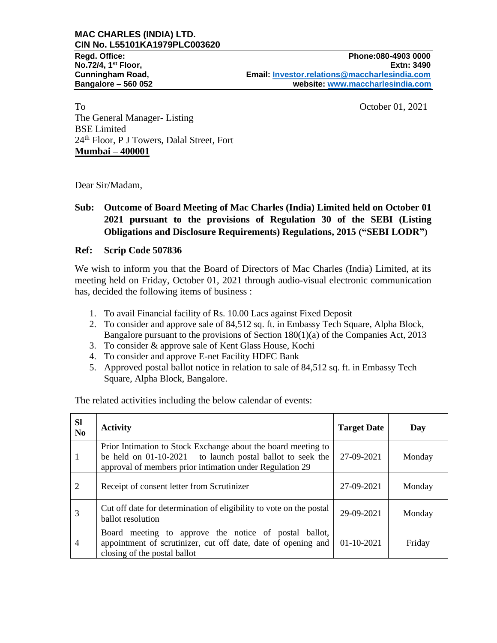To Crober 01, 2021 The General Manager- Listing BSE Limited 24th Floor, P J Towers, Dalal Street, Fort **Mumbai – 400001**

Dear Sir/Madam,

## **Sub: Outcome of Board Meeting of Mac Charles (India) Limited held on October 01 2021 pursuant to the provisions of Regulation 30 of the SEBI (Listing Obligations and Disclosure Requirements) Regulations, 2015 ("SEBI LODR")**

## **Ref: Scrip Code 507836**

We wish to inform you that the Board of Directors of Mac Charles (India) Limited, at its meeting held on Friday, October 01, 2021 through audio-visual electronic communication has, decided the following items of business :

- 1. To avail Financial facility of Rs. 10.00 Lacs against Fixed Deposit
- 2. To consider and approve sale of 84,512 sq. ft. in Embassy Tech Square, Alpha Block, Bangalore pursuant to the provisions of Section 180(1)(a) of the Companies Act, 2013
- 3. To consider & approve sale of Kent Glass House, Kochi
- 4. To consider and approve E-net Facility HDFC Bank
- 5. Approved postal ballot notice in relation to sale of 84,512 sq. ft. in Embassy Tech Square, Alpha Block, Bangalore.

The related activities including the below calendar of events:

| <b>Sl</b><br>N <sub>0</sub> | <b>Activity</b>                                                                                                                                                                        | <b>Target Date</b> | Day    |
|-----------------------------|----------------------------------------------------------------------------------------------------------------------------------------------------------------------------------------|--------------------|--------|
|                             | Prior Intimation to Stock Exchange about the board meeting to<br>be held on 01-10-2021 to launch postal ballot to seek the<br>approval of members prior intimation under Regulation 29 | 27-09-2021         | Monday |
| 2                           | Receipt of consent letter from Scrutinizer                                                                                                                                             | 27-09-2021         | Monday |
| 3                           | Cut off date for determination of eligibility to vote on the postal<br>ballot resolution                                                                                               | 29-09-2021         | Monday |
| $\overline{4}$              | meeting to approve the notice of postal<br>Board<br>ballot.<br>appointment of scrutinizer, cut off date, date of opening and<br>closing of the postal ballot                           | $01-10-2021$       | Friday |